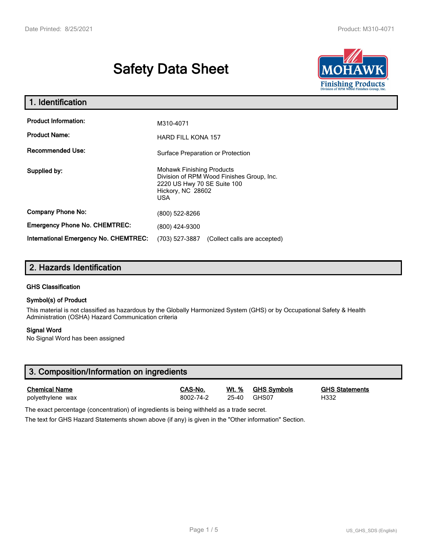# **Safety Data Sheet**



| 1. Identification                                   |                                                                                                                                          |  |  |  |
|-----------------------------------------------------|------------------------------------------------------------------------------------------------------------------------------------------|--|--|--|
| <b>Product Information:</b><br><b>Product Name:</b> | M310-4071<br><b>HARD FILL KONA 157</b>                                                                                                   |  |  |  |
| <b>Recommended Use:</b>                             | Surface Preparation or Protection                                                                                                        |  |  |  |
| Supplied by:                                        | <b>Mohawk Finishing Products</b><br>Division of RPM Wood Finishes Group, Inc.<br>2220 US Hwy 70 SE Suite 100<br>Hickory, NC 28602<br>USA |  |  |  |
| <b>Company Phone No:</b>                            | (800) 522-8266                                                                                                                           |  |  |  |
| <b>Emergency Phone No. CHEMTREC:</b>                | (800) 424-9300                                                                                                                           |  |  |  |
| <b>International Emergency No. CHEMTREC:</b>        | (703) 527-3887<br>(Collect calls are accepted)                                                                                           |  |  |  |

# **2. Hazards Identification**

## **GHS Classification**

## **Symbol(s) of Product**

This material is not classified as hazardous by the Globally Harmonized System (GHS) or by Occupational Safety & Health Administration (OSHA) Hazard Communication criteria

## **Signal Word**

No Signal Word has been assigned

| 3. Composition/Information on ingredients |           |       |                    |                       |  |
|-------------------------------------------|-----------|-------|--------------------|-----------------------|--|
| <b>Chemical Name</b>                      | CAS-No.   | Wt. % | <b>GHS Symbols</b> | <b>GHS Statements</b> |  |
| polyethylene wax                          | 8002-74-2 | 25-40 | GHS07              | H332                  |  |

The exact percentage (concentration) of ingredients is being withheld as a trade secret.

The text for GHS Hazard Statements shown above (if any) is given in the "Other information" Section.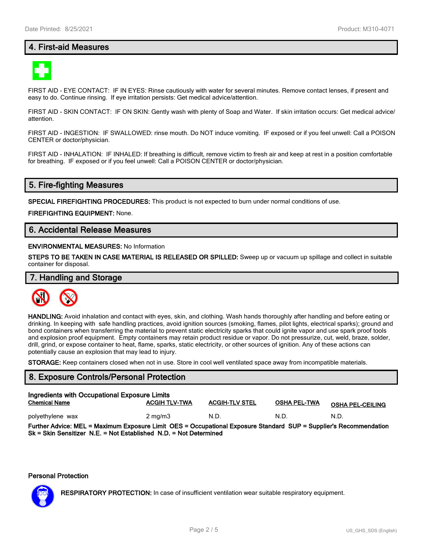# **4. First-aid Measures**



FIRST AID - EYE CONTACT: IF IN EYES: Rinse cautiously with water for several minutes. Remove contact lenses, if present and easy to do. Continue rinsing. If eye irritation persists: Get medical advice/attention.

FIRST AID - SKIN CONTACT: IF ON SKIN: Gently wash with plenty of Soap and Water. If skin irritation occurs: Get medical advice/ attention.

FIRST AID - INGESTION: IF SWALLOWED: rinse mouth. Do NOT induce vomiting. IF exposed or if you feel unwell: Call a POISON CENTER or doctor/physician.

FIRST AID - INHALATION: IF INHALED: If breathing is difficult, remove victim to fresh air and keep at rest in a position comfortable for breathing. IF exposed or if you feel unwell: Call a POISON CENTER or doctor/physician.

# **5. Fire-fighting Measures**

**SPECIAL FIREFIGHTING PROCEDURES:** This product is not expected to burn under normal conditions of use.

**FIREFIGHTING EQUIPMENT:** None.

# **6. Accidental Release Measures**

#### **ENVIRONMENTAL MEASURES:** No Information

**STEPS TO BE TAKEN IN CASE MATERIAL IS RELEASED OR SPILLED:** Sweep up or vacuum up spillage and collect in suitable container for disposal.

# **7. Handling and Storage**



**HANDLING:** Avoid inhalation and contact with eyes, skin, and clothing. Wash hands thoroughly after handling and before eating or drinking. In keeping with safe handling practices, avoid ignition sources (smoking, flames, pilot lights, electrical sparks); ground and bond containers when transferring the material to prevent static electricity sparks that could ignite vapor and use spark proof tools and explosion proof equipment. Empty containers may retain product residue or vapor. Do not pressurize, cut, weld, braze, solder, drill, grind, or expose container to heat, flame, sparks, static electricity, or other sources of ignition. Any of these actions can potentially cause an explosion that may lead to injury.

**STORAGE:** Keep containers closed when not in use. Store in cool well ventilated space away from incompatible materials.

## **8. Exposure Controls/Personal Protection**

| Ingredients with Occupational Exposure Limits<br><b>ACGIH TLV-TWA</b><br><b>ACGIH-TLV STEL</b><br>OSHA PEL-TWA<br><b>Chemical Name</b><br><b>OSHA PEL-CEILING</b> |                  |      |      |      |  |  |
|-------------------------------------------------------------------------------------------------------------------------------------------------------------------|------------------|------|------|------|--|--|
| polyethylene wax                                                                                                                                                  | $2 \text{ mg/m}$ | N.D. | N.D. | N.D. |  |  |
| Further Advice: MEL = Maximum Exposure Limit OES = Occupational Exposure Standard SUP = Supplier's Recommendation                                                 |                  |      |      |      |  |  |

**Sk = Skin Sensitizer N.E. = Not Established N.D. = Not Determined**

#### **Personal Protection**



**RESPIRATORY PROTECTION:** In case of insufficient ventilation wear suitable respiratory equipment.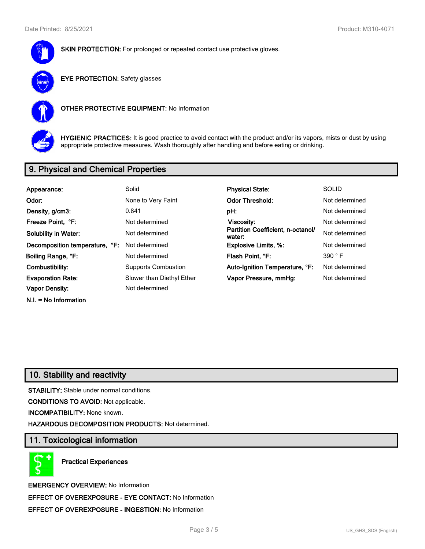

**SKIN PROTECTION:** For prolonged or repeated contact use protective gloves.



**EYE PROTECTION:** Safety glasses



**OTHER PROTECTIVE EQUIPMENT:** No Information



**HYGIENIC PRACTICES:** It is good practice to avoid contact with the product and/or its vapors, mists or dust by using appropriate protective measures. Wash thoroughly after handling and before eating or drinking.

# **9. Physical and Chemical Properties**

| Appearance:                    | Solid                      | <b>Physical State:</b>                      | <b>SOLID</b>   |
|--------------------------------|----------------------------|---------------------------------------------|----------------|
| Odor:                          | None to Very Faint         | <b>Odor Threshold:</b>                      | Not determined |
| Density, g/cm3:                | 0.841                      | pH:                                         | Not determined |
| Freeze Point, °F:              | Not determined             | Viscosity:                                  | Not determined |
| <b>Solubility in Water:</b>    | Not determined             | Partition Coefficient, n-octanol/<br>water: | Not determined |
| Decomposition temperature, °F: | Not determined             | <b>Explosive Limits, %:</b>                 | Not determined |
| Boiling Range, °F:             | Not determined             | Flash Point, °F:                            | 390 °F         |
| Combustibility:                | <b>Supports Combustion</b> | Auto-Ignition Temperature, °F:              | Not determined |
| <b>Evaporation Rate:</b>       | Slower than Diethyl Ether  | Vapor Pressure, mmHg:                       | Not determined |
| <b>Vapor Density:</b>          | Not determined             |                                             |                |
| $N.I. = No Information$        |                            |                                             |                |

# **10. Stability and reactivity**

**STABILITY:** Stable under normal conditions.

**CONDITIONS TO AVOID:** Not applicable.

**INCOMPATIBILITY:** None known.

**HAZARDOUS DECOMPOSITION PRODUCTS:** Not determined.

# **11. Toxicological information**

**Practical Experiences**

**EMERGENCY OVERVIEW:** No Information **EFFECT OF OVEREXPOSURE - EYE CONTACT:** No Information **EFFECT OF OVEREXPOSURE - INGESTION:** No Information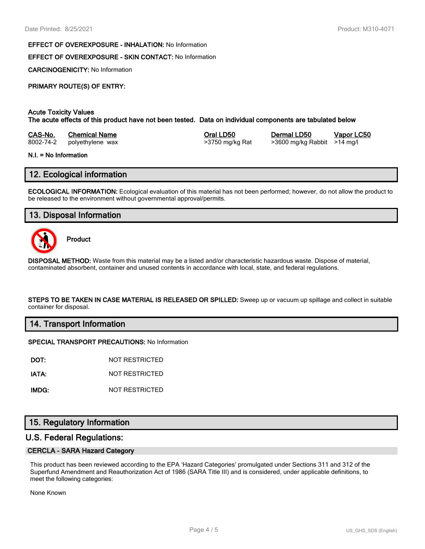#### **EFFECT OF OVEREXPOSURE - INHALATION:** No Information

# **EFFECT OF OVEREXPOSURE - SKIN CONTACT:** No Information

**CARCINOGENICITY:** No Information

# **PRIMARY ROUTE(S) OF ENTRY:**

## **Acute Toxicity Values**

**The acute effects of this product have not been tested. Data on individual components are tabulated below**

| CAS-No.   | <b>Chemical Name</b> |
|-----------|----------------------|
| 8002-74-2 | polvethylene wax     |

8002-74-2 polyethylene wax >3750 mg/kg Rat >3600 mg/kg Rabbit >14 mg/l

**Casa-No. 25 Co. 26 Co. 26 Co. 26 Co. 26 Co. 26 Co. 26 Vapor LC50** 

#### **N.I. = No Information**

# **12. Ecological information**

**ECOLOGICAL INFORMATION:** Ecological evaluation of this material has not been performed; however, do not allow the product to be released to the environment without governmental approval/permits.

# **13. Disposal Information**



**Product**

**DISPOSAL METHOD:** Waste from this material may be a listed and/or characteristic hazardous waste. Dispose of material, contaminated absorbent, container and unused contents in accordance with local, state, and federal regulations.

**STEPS TO BE TAKEN IN CASE MATERIAL IS RELEASED OR SPILLED:** Sweep up or vacuum up spillage and collect in suitable container for disposal.

## **14. Transport Information**

#### **SPECIAL TRANSPORT PRECAUTIONS:** No Information

**DOT:** NOT RESTRICTED

**IATA:** NOT RESTRICTED

**IMDG:** NOT RESTRICTED

# **15. Regulatory Information**

# **U.S. Federal Regulations:**

#### **CERCLA - SARA Hazard Category**

This product has been reviewed according to the EPA 'Hazard Categories' promulgated under Sections 311 and 312 of the Superfund Amendment and Reauthorization Act of 1986 (SARA Title III) and is considered, under applicable definitions, to meet the following categories:

None Known